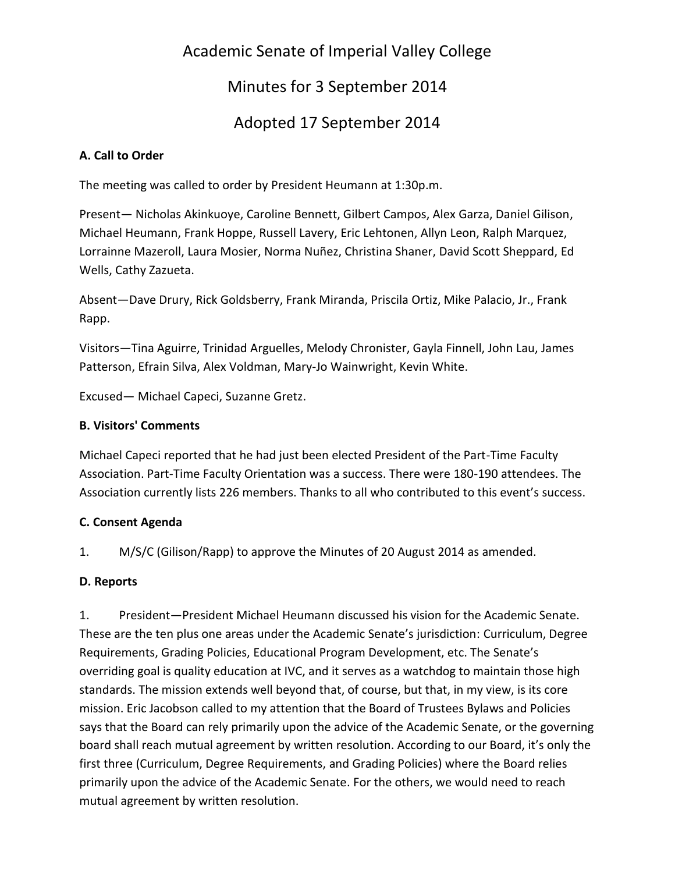# Academic Senate of Imperial Valley College

Minutes for 3 September 2014

# Adopted 17 September 2014

## **A. Call to Order**

The meeting was called to order by President Heumann at 1:30p.m.

Present— Nicholas Akinkuoye, Caroline Bennett, Gilbert Campos, Alex Garza, Daniel Gilison, Michael Heumann, Frank Hoppe, Russell Lavery, Eric Lehtonen, Allyn Leon, Ralph Marquez, Lorrainne Mazeroll, Laura Mosier, Norma Nuñez, Christina Shaner, David Scott Sheppard, Ed Wells, Cathy Zazueta.

Absent—Dave Drury, Rick Goldsberry, Frank Miranda, Priscila Ortiz, Mike Palacio, Jr., Frank Rapp.

Visitors—Tina Aguirre, Trinidad Arguelles, Melody Chronister, Gayla Finnell, John Lau, James Patterson, Efrain Silva, Alex Voldman, Mary-Jo Wainwright, Kevin White.

Excused— Michael Capeci, Suzanne Gretz.

### **B. Visitors' Comments**

Michael Capeci reported that he had just been elected President of the Part-Time Faculty Association. Part-Time Faculty Orientation was a success. There were 180-190 attendees. The Association currently lists 226 members. Thanks to all who contributed to this event's success.

## **C. Consent Agenda**

1. M/S/C (Gilison/Rapp) to approve the Minutes of 20 August 2014 as amended.

## **D. Reports**

1. President—President Michael Heumann discussed his vision for the Academic Senate. These are the ten plus one areas under the Academic Senate's jurisdiction: Curriculum, Degree Requirements, Grading Policies, Educational Program Development, etc. The Senate's overriding goal is quality education at IVC, and it serves as a watchdog to maintain those high standards. The mission extends well beyond that, of course, but that, in my view, is its core mission. Eric Jacobson called to my attention that the Board of Trustees Bylaws and Policies says that the Board can rely primarily upon the advice of the Academic Senate, or the governing board shall reach mutual agreement by written resolution. According to our Board, it's only the first three (Curriculum, Degree Requirements, and Grading Policies) where the Board relies primarily upon the advice of the Academic Senate. For the others, we would need to reach mutual agreement by written resolution.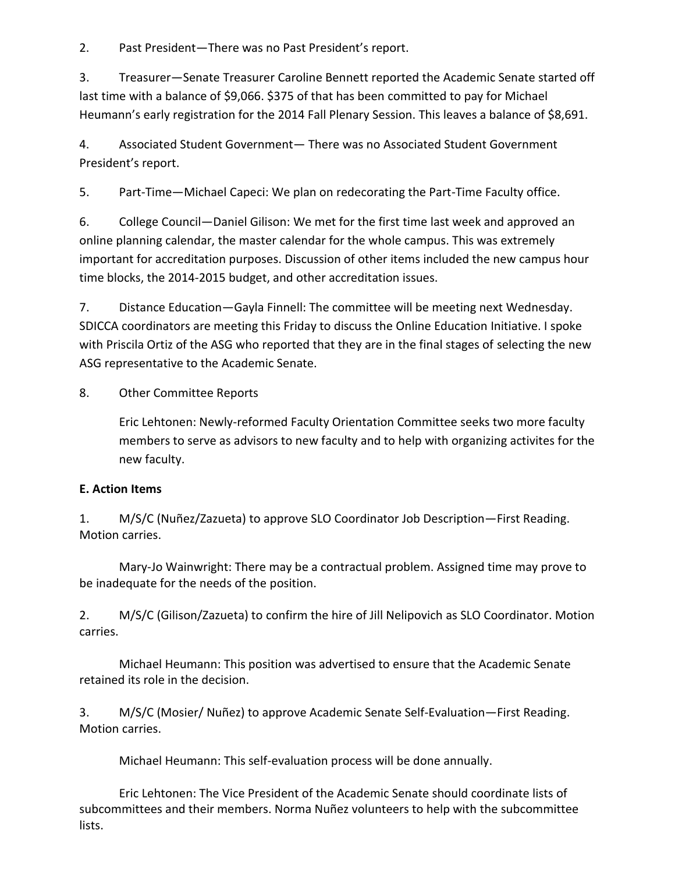2. Past President—There was no Past President's report.

3. Treasurer—Senate Treasurer Caroline Bennett reported the Academic Senate started off last time with a balance of \$9,066. \$375 of that has been committed to pay for Michael Heumann's early registration for the 2014 Fall Plenary Session. This leaves a balance of \$8,691.

4. Associated Student Government— There was no Associated Student Government President's report.

5. Part-Time—Michael Capeci: We plan on redecorating the Part-Time Faculty office.

6. College Council—Daniel Gilison: We met for the first time last week and approved an online planning calendar, the master calendar for the whole campus. This was extremely important for accreditation purposes. Discussion of other items included the new campus hour time blocks, the 2014-2015 budget, and other accreditation issues.

7. Distance Education—Gayla Finnell: The committee will be meeting next Wednesday. SDICCA coordinators are meeting this Friday to discuss the Online Education Initiative. I spoke with Priscila Ortiz of the ASG who reported that they are in the final stages of selecting the new ASG representative to the Academic Senate.

8. Other Committee Reports

Eric Lehtonen: Newly-reformed Faculty Orientation Committee seeks two more faculty members to serve as advisors to new faculty and to help with organizing activites for the new faculty.

### **E. Action Items**

1. M/S/C (Nuñez/Zazueta) to approve SLO Coordinator Job Description—First Reading. Motion carries.

Mary-Jo Wainwright: There may be a contractual problem. Assigned time may prove to be inadequate for the needs of the position.

2. M/S/C (Gilison/Zazueta) to confirm the hire of Jill Nelipovich as SLO Coordinator. Motion carries.

Michael Heumann: This position was advertised to ensure that the Academic Senate retained its role in the decision.

3. M/S/C (Mosier/ Nuñez) to approve Academic Senate Self-Evaluation—First Reading. Motion carries.

Michael Heumann: This self-evaluation process will be done annually.

Eric Lehtonen: The Vice President of the Academic Senate should coordinate lists of subcommittees and their members. Norma Nuñez volunteers to help with the subcommittee lists.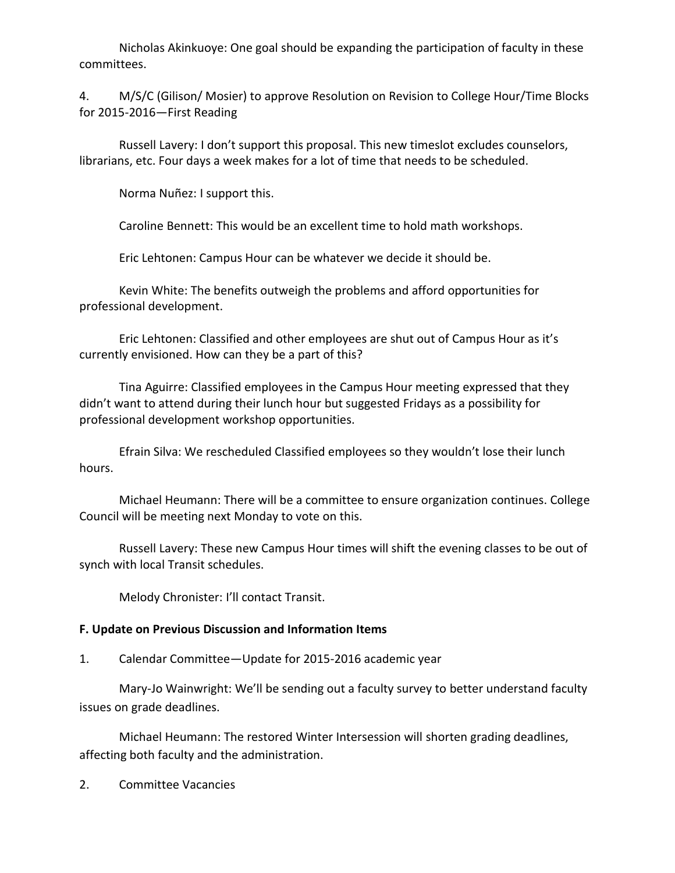Nicholas Akinkuoye: One goal should be expanding the participation of faculty in these committees.

4. M/S/C (Gilison/ Mosier) to approve Resolution on Revision to College Hour/Time Blocks for 2015-2016—First Reading

Russell Lavery: I don't support this proposal. This new timeslot excludes counselors, librarians, etc. Four days a week makes for a lot of time that needs to be scheduled.

Norma Nuñez: I support this.

Caroline Bennett: This would be an excellent time to hold math workshops.

Eric Lehtonen: Campus Hour can be whatever we decide it should be.

Kevin White: The benefits outweigh the problems and afford opportunities for professional development.

Eric Lehtonen: Classified and other employees are shut out of Campus Hour as it's currently envisioned. How can they be a part of this?

Tina Aguirre: Classified employees in the Campus Hour meeting expressed that they didn't want to attend during their lunch hour but suggested Fridays as a possibility for professional development workshop opportunities.

Efrain Silva: We rescheduled Classified employees so they wouldn't lose their lunch hours.

Michael Heumann: There will be a committee to ensure organization continues. College Council will be meeting next Monday to vote on this.

Russell Lavery: These new Campus Hour times will shift the evening classes to be out of synch with local Transit schedules.

Melody Chronister: I'll contact Transit.

### **F. Update on Previous Discussion and Information Items**

1. Calendar Committee—Update for 2015-2016 academic year

Mary-Jo Wainwright: We'll be sending out a faculty survey to better understand faculty issues on grade deadlines.

Michael Heumann: The restored Winter Intersession will shorten grading deadlines, affecting both faculty and the administration.

2. Committee Vacancies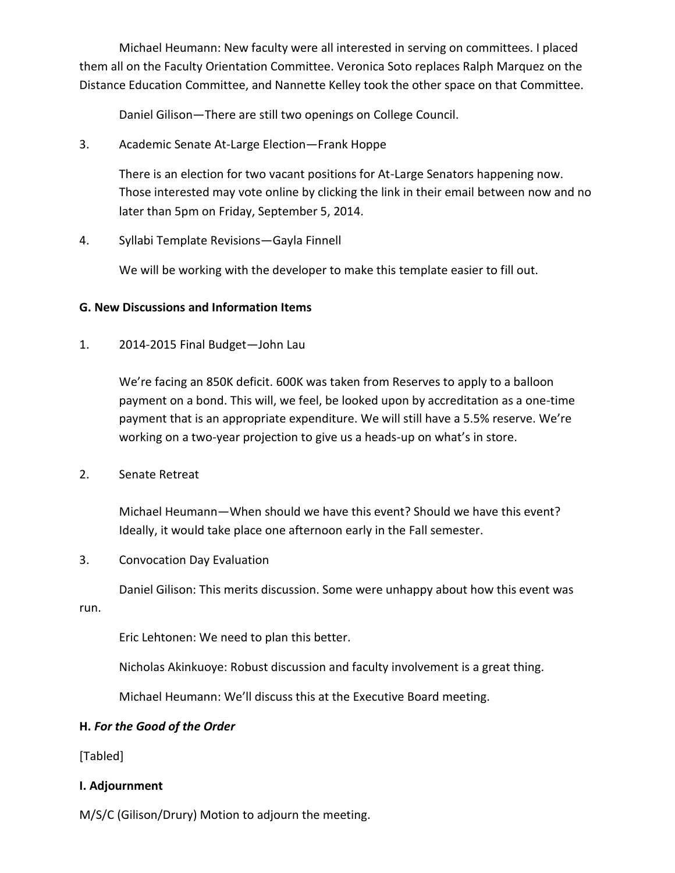Michael Heumann: New faculty were all interested in serving on committees. I placed them all on the Faculty Orientation Committee. Veronica Soto replaces Ralph Marquez on the Distance Education Committee, and Nannette Kelley took the other space on that Committee.

Daniel Gilison—There are still two openings on College Council.

3. Academic Senate At-Large Election—Frank Hoppe

There is an election for two vacant positions for At-Large Senators happening now. Those interested may vote online by clicking the link in their email between now and no later than 5pm on Friday, September 5, 2014.

4. Syllabi Template Revisions—Gayla Finnell

We will be working with the developer to make this template easier to fill out.

#### **G. New Discussions and Information Items**

1. 2014-2015 Final Budget—John Lau

We're facing an 850K deficit. 600K was taken from Reserves to apply to a balloon payment on a bond. This will, we feel, be looked upon by accreditation as a one-time payment that is an appropriate expenditure. We will still have a 5.5% reserve. We're working on a two-year projection to give us a heads-up on what's in store.

2. Senate Retreat

Michael Heumann—When should we have this event? Should we have this event? Ideally, it would take place one afternoon early in the Fall semester.

3. Convocation Day Evaluation

Daniel Gilison: This merits discussion. Some were unhappy about how this event was

run.

Eric Lehtonen: We need to plan this better.

Nicholas Akinkuoye: Robust discussion and faculty involvement is a great thing.

Michael Heumann: We'll discuss this at the Executive Board meeting.

#### **H.** *For the Good of the Order*

[Tabled]

#### **I. Adjournment**

M/S/C (Gilison/Drury) Motion to adjourn the meeting.